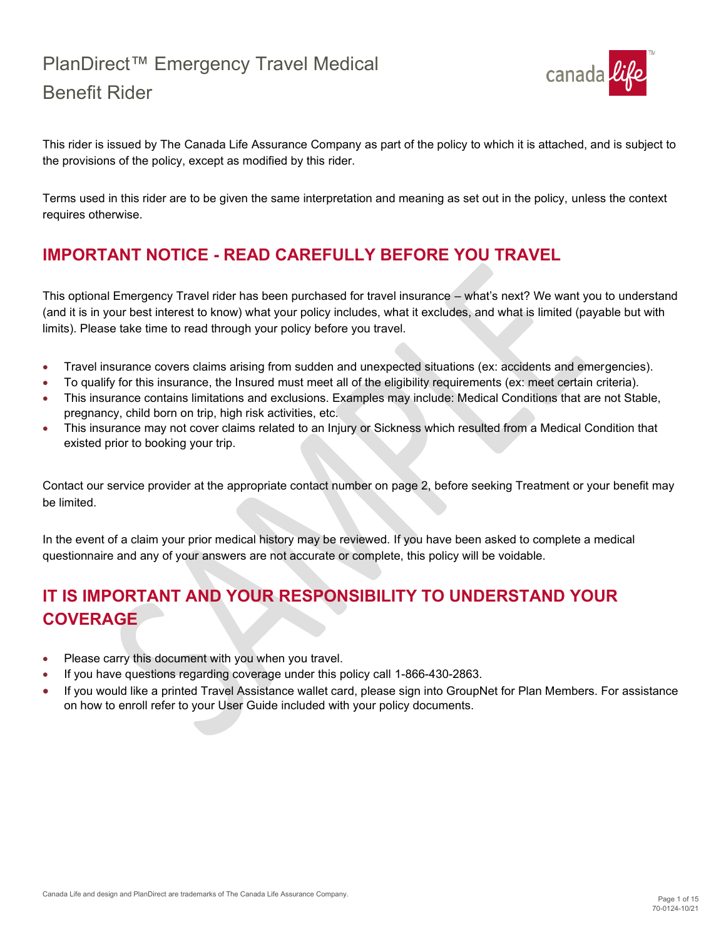

This rider is issued by The Canada Life Assurance Company as part of the policy to which it is attached, and is subject to the provisions of the policy, except as modified by this rider.

Terms used in this rider are to be given the same interpretation and meaning as set out in the policy, unless the context requires otherwise.

# **IMPORTANT NOTICE - READ CAREFULLY BEFORE YOU TRAVEL**

This optional Emergency Travel rider has been purchased for travel insurance – what's next? We want you to understand (and it is in your best interest to know) what your policy includes, what it excludes, and what is limited (payable but with limits). Please take time to read through your policy before you travel.

- Travel insurance covers claims arising from sudden and unexpected situations (ex: accidents and emergencies).
- To qualify for this insurance, the Insured must meet all of the eligibility requirements (ex: meet certain criteria).
- This insurance contains limitations and exclusions. Examples may include: Medical Conditions that are not Stable, pregnancy, child born on trip, high risk activities, etc.
- This insurance may not cover claims related to an Injury or Sickness which resulted from a Medical Condition that existed prior to booking your trip.

Contact our service provider at the appropriate contact number on page 2, before seeking Treatment or your benefit may be limited.

In the event of a claim your prior medical history may be reviewed. If you have been asked to complete a medical questionnaire and any of your answers are not accurate or complete, this policy will be voidable.

# **IT IS IMPORTANT AND YOUR RESPONSIBILITY TO UNDERSTAND YOUR COVERAGE**

- Please carry this document with you when you travel.
- If you have questions regarding coverage under this policy call 1-866-430-2863.
- If you would like a printed Travel Assistance wallet card, please sign into GroupNet for Plan Members. For assistance on how to enroll refer to your User Guide included with your policy documents.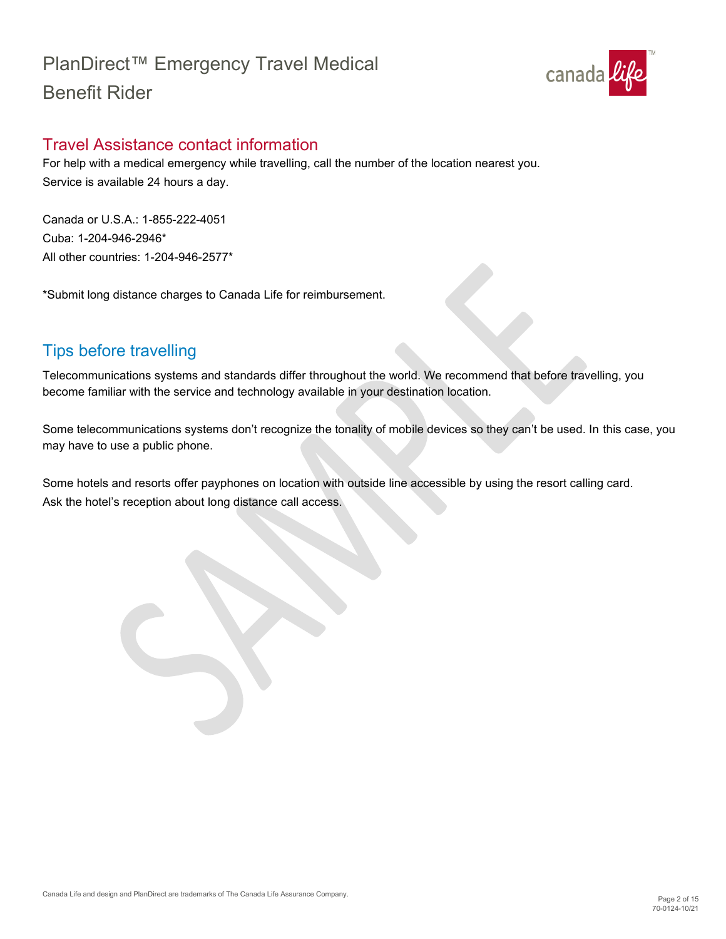

## <span id="page-1-0"></span>Travel Assistance contact information

For help with a medical emergency while travelling, call the number of the location nearest you. Service is available 24 hours a day.

Canada or U.S.A.: 1-855-222-4051 Cuba: 1-204-946-2946\* All other countries: 1-204-946-2577\*

\*Submit long distance charges to Canada Life for reimbursement.

# <span id="page-1-1"></span>Tips before travelling

Telecommunications systems and standards differ throughout the world. We recommend that before travelling, you become familiar with the service and technology available in your destination location.

Some telecommunications systems don't recognize the tonality of mobile devices so they can't be used. In this case, you may have to use a public phone.

Some hotels and resorts offer payphones on location with outside line accessible by using the resort calling card. Ask the hotel's reception about long distance call access.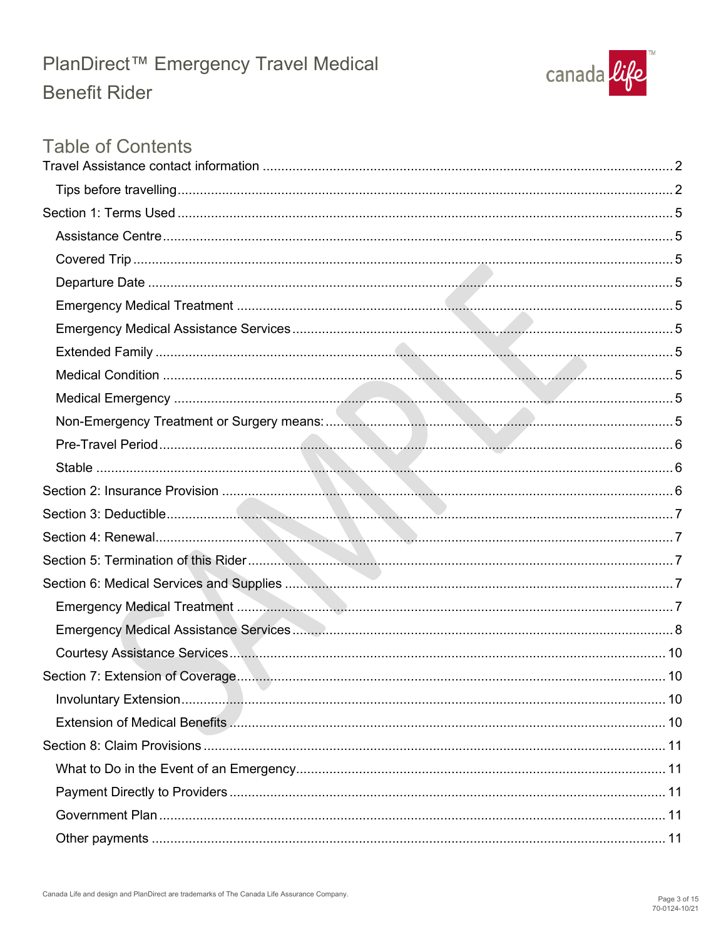

# **Table of Contents**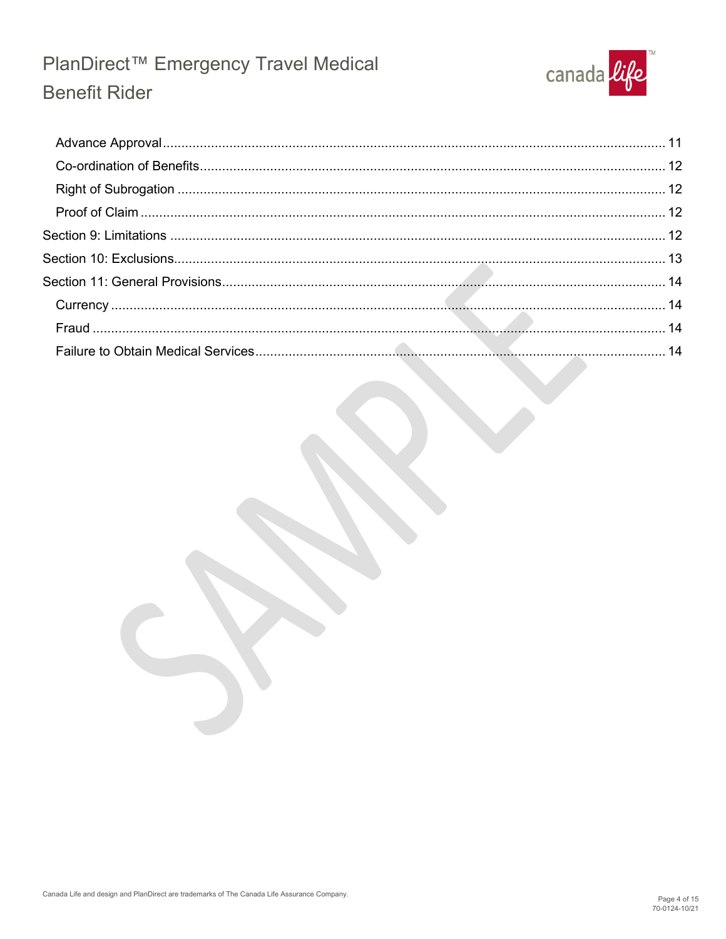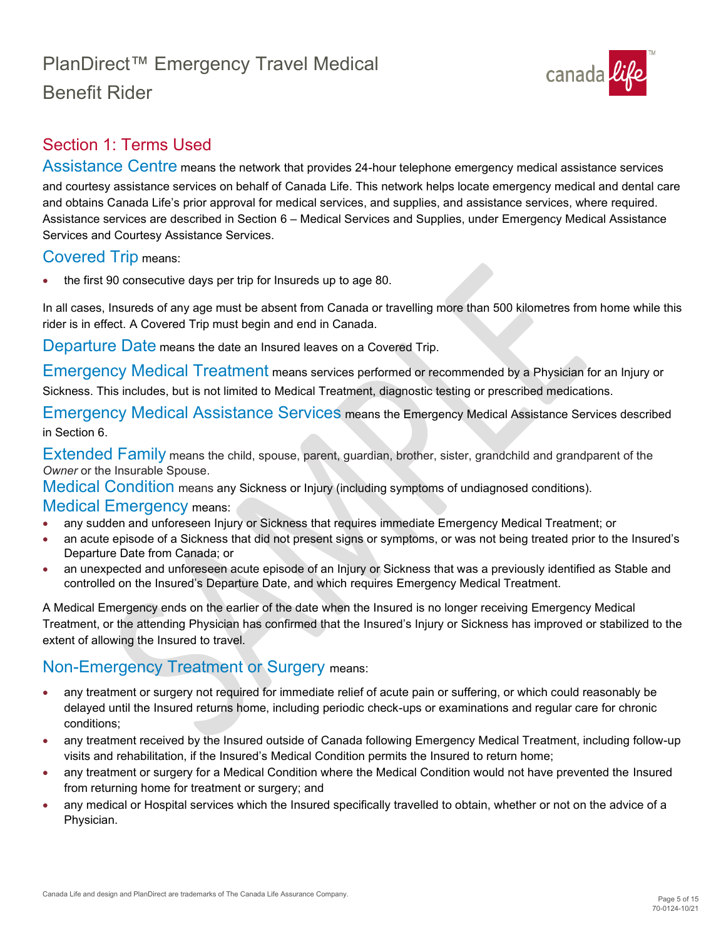

# <span id="page-4-0"></span>Section 1: Terms Used

<span id="page-4-1"></span>Assistance Centre means the network that provides 24-hour telephone emergency medical assistance services and courtesy assistance services on behalf of Canada Life. This network helps locate emergency medical and dental care and obtains Canada Life's prior approval for medical services, and supplies, and assistance services, where required. Assistance services are described in Section 6 – Medical Services and Supplies, under Emergency Medical Assistance Services and Courtesy Assistance Services.

### <span id="page-4-2"></span>Covered Trip means:

• the first 90 consecutive days per trip for Insureds up to age 80.

In all cases, Insureds of any age must be absent from Canada or travelling more than 500 kilometres from home while this rider is in effect. A Covered Trip must begin and end in Canada.

<span id="page-4-3"></span>Departure Date means the date an Insured leaves on a Covered Trip.

<span id="page-4-4"></span>Emergency Medical Treatment means services performed or recommended by a Physician for an Injury or Sickness. This includes, but is not limited to Medical Treatment, diagnostic testing or prescribed medications.

<span id="page-4-5"></span>Emergency Medical Assistance Services means the Emergency Medical Assistance Services described in Section 6.

<span id="page-4-6"></span>Extended Family means the child, spouse, parent, guardian, brother, sister, grandchild and grandparent of the *Owner* or the Insurable Spouse.

<span id="page-4-7"></span>Medical Condition means any Sickness or Injury (including symptoms of undiagnosed conditions).

#### <span id="page-4-8"></span>Medical Emergency means:

- any sudden and unforeseen Injury or Sickness that requires immediate Emergency Medical Treatment; or
- an acute episode of a Sickness that did not present signs or symptoms, or was not being treated prior to the Insured's Departure Date from Canada; or
- an unexpected and unforeseen acute episode of an Injury or Sickness that was a previously identified as Stable and controlled on the Insured's Departure Date, and which requires Emergency Medical Treatment.

A Medical Emergency ends on the earlier of the date when the Insured is no longer receiving Emergency Medical Treatment, or the attending Physician has confirmed that the Insured's Injury or Sickness has improved or stabilized to the extent of allowing the Insured to travel.

## <span id="page-4-9"></span>Non-Emergency Treatment or Surgery means:

- any treatment or surgery not required for immediate relief of acute pain or suffering, or which could reasonably be delayed until the Insured returns home, including periodic check-ups or examinations and regular care for chronic conditions;
- any treatment received by the Insured outside of Canada following Emergency Medical Treatment, including follow-up visits and rehabilitation, if the Insured's Medical Condition permits the Insured to return home;
- any treatment or surgery for a Medical Condition where the Medical Condition would not have prevented the Insured from returning home for treatment or surgery; and
- any medical or Hospital services which the Insured specifically travelled to obtain, whether or not on the advice of a Physician.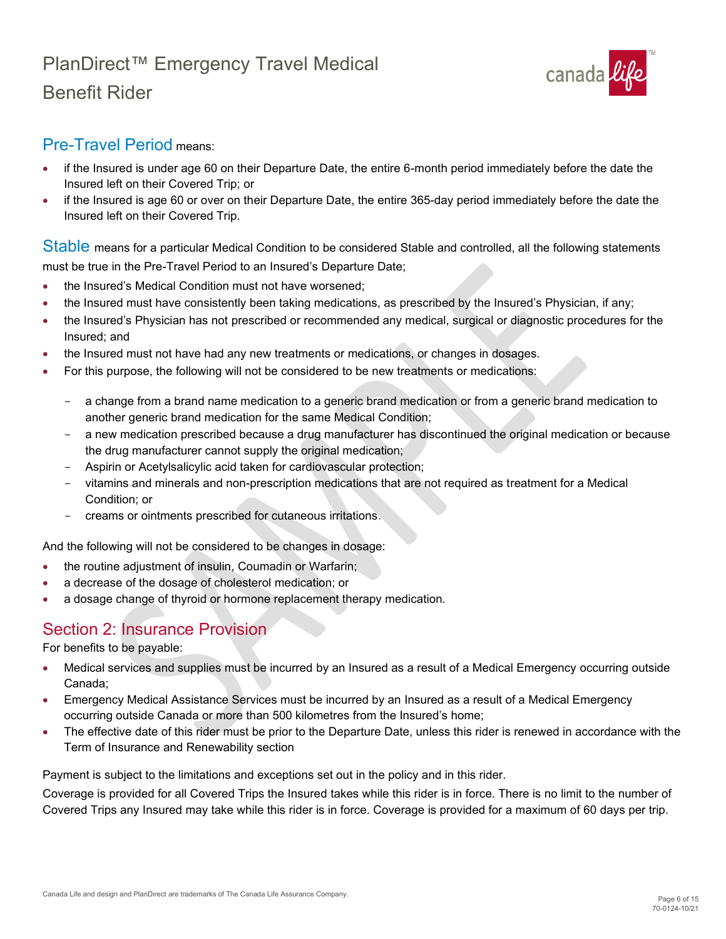

## <span id="page-5-0"></span>Pre-Travel Period means:

- if the Insured is under age 60 on their Departure Date, the entire 6-month period immediately before the date the Insured left on their Covered Trip; or
- if the Insured is age 60 or over on their Departure Date, the entire 365-day period immediately before the date the Insured left on their Covered Trip.

<span id="page-5-1"></span>Stable means for a particular Medical Condition to be considered Stable and controlled, all the following statements must be true in the Pre-Travel Period to an Insured's Departure Date;

- the Insured's Medical Condition must not have worsened;
- the Insured must have consistently been taking medications, as prescribed by the Insured's Physician, if any;
- the Insured's Physician has not prescribed or recommended any medical, surgical or diagnostic procedures for the Insured; and
- the Insured must not have had any new treatments or medications, or changes in dosages.
- For this purpose, the following will not be considered to be new treatments or medications:
	- a change from a brand name medication to a generic brand medication or from a generic brand medication to another generic brand medication for the same Medical Condition;
	- a new medication prescribed because a drug manufacturer has discontinued the original medication or because the drug manufacturer cannot supply the original medication;
	- Aspirin or Acetylsalicylic acid taken for cardiovascular protection;
	- vitamins and minerals and non-prescription medications that are not required as treatment for a Medical Condition; or
	- creams or ointments prescribed for cutaneous irritations.

And the following will not be considered to be changes in dosage:

- the routine adjustment of insulin, Coumadin or Warfarin;
- a decrease of the dosage of cholesterol medication; or
- a dosage change of thyroid or hormone replacement therapy medication.

## <span id="page-5-2"></span>Section 2: Insurance Provision

For benefits to be payable:

- Medical services and supplies must be incurred by an Insured as a result of a Medical Emergency occurring outside Canada;
- Emergency Medical Assistance Services must be incurred by an Insured as a result of a Medical Emergency occurring outside Canada or more than 500 kilometres from the Insured's home;
- The effective date of this rider must be prior to the Departure Date, unless this rider is renewed in accordance with the Term of Insurance and Renewability section

Payment is subject to the limitations and exceptions set out in the policy and in this rider.

Coverage is provided for all Covered Trips the Insured takes while this rider is in force. There is no limit to the number of Covered Trips any Insured may take while this rider is in force. Coverage is provided for a maximum of 60 days per trip.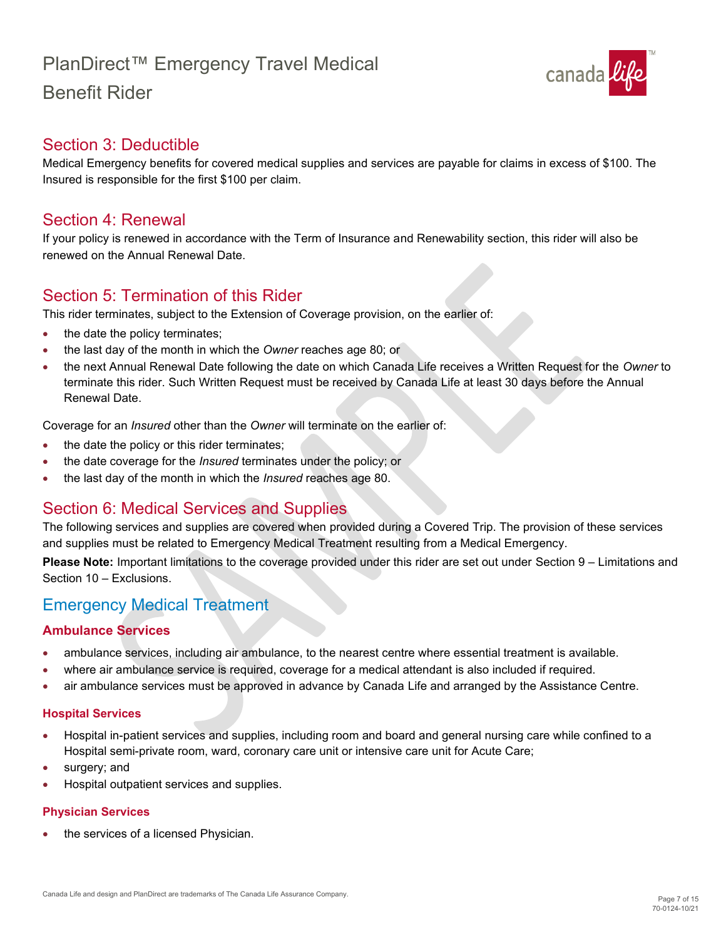

## <span id="page-6-0"></span>Section 3: Deductible

Medical Emergency benefits for covered medical supplies and services are payable for claims in excess of \$100. The Insured is responsible for the first \$100 per claim.

### <span id="page-6-1"></span>Section 4: Renewal

If your policy is renewed in accordance with the Term of Insurance and Renewability section, this rider will also be renewed on the Annual Renewal Date.

## <span id="page-6-2"></span>Section 5: Termination of this Rider

This rider terminates, subject to the Extension of Coverage provision, on the earlier of:

- the date the policy terminates;
- the last day of the month in which the *Owner* reaches age 80; or
- the next Annual Renewal Date following the date on which Canada Life receives a Written Request for the *Owner* to terminate this rider. Such Written Request must be received by Canada Life at least 30 days before the Annual Renewal Date.

Coverage for an *Insured* other than the *Owner* will terminate on the earlier of:

- the date the policy or this rider terminates;
- the date coverage for the *Insured* terminates under the policy; or
- the last day of the month in which the *Insured* reaches age 80.

## <span id="page-6-3"></span>Section 6: Medical Services and Supplies

The following services and supplies are covered when provided during a Covered Trip. The provision of these services and supplies must be related to Emergency Medical Treatment resulting from a Medical Emergency.

**Please Note:** Important limitations to the coverage provided under this rider are set out under Section 9 – Limitations and Section 10 – Exclusions.

## <span id="page-6-4"></span>Emergency Medical Treatment

#### **Ambulance Services**

- ambulance services, including air ambulance, to the nearest centre where essential treatment is available.
- where air ambulance service is required, coverage for a medical attendant is also included if required.
- air ambulance services must be approved in advance by Canada Life and arranged by the Assistance Centre.

#### **Hospital Services**

- Hospital in-patient services and supplies, including room and board and general nursing care while confined to a Hospital semi-private room, ward, coronary care unit or intensive care unit for Acute Care;
- surgery; and
- Hospital outpatient services and supplies.

#### **Physician Services**

the services of a licensed Physician. •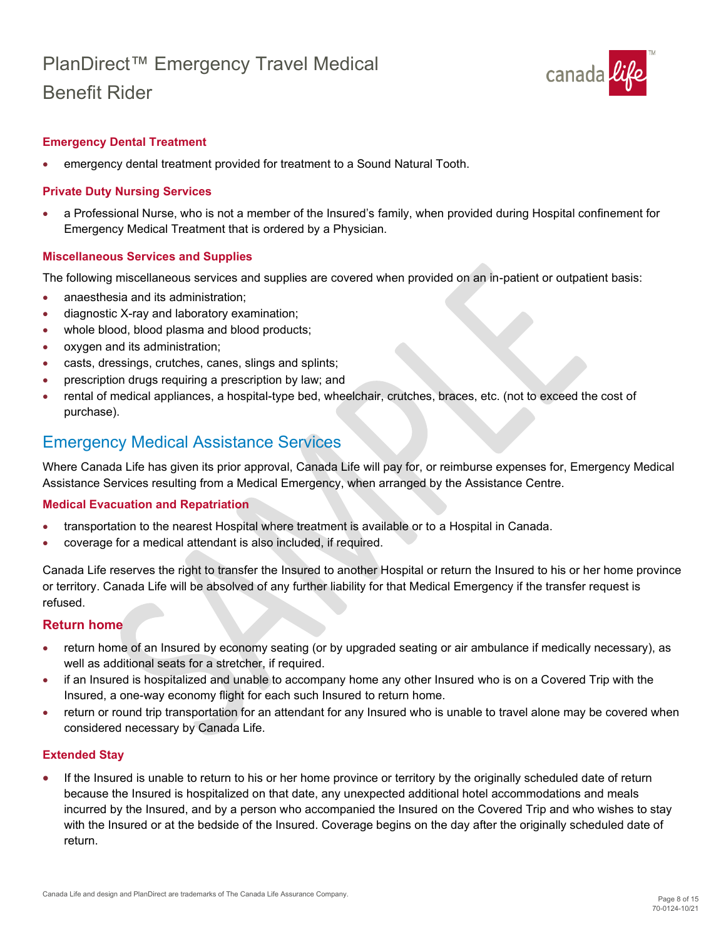

#### **Emergency Dental Treatment**

• emergency dental treatment provided for treatment to a Sound Natural Tooth.

#### **Private Duty Nursing Services**

• a Professional Nurse, who is not a member of the Insured's family, when provided during Hospital confinement for Emergency Medical Treatment that is ordered by a Physician.

#### **Miscellaneous Services and Supplies**

The following miscellaneous services and supplies are covered when provided on an in-patient or outpatient basis:

- anaesthesia and its administration:
- diagnostic X-ray and laboratory examination;
- whole blood, blood plasma and blood products;
- oxygen and its administration;
- casts, dressings, crutches, canes, slings and splints;
- prescription drugs requiring a prescription by law; and
- rental of medical appliances, a hospital-type bed, wheelchair, crutches, braces, etc. (not to exceed the cost of purchase).

### <span id="page-7-0"></span>Emergency Medical Assistance Services

Where Canada Life has given its prior approval, Canada Life will pay for, or reimburse expenses for, Emergency Medical Assistance Services resulting from a Medical Emergency, when arranged by the Assistance Centre.

#### **Medical Evacuation and Repatriation**

- transportation to the nearest Hospital where treatment is available or to a Hospital in Canada.
- coverage for a medical attendant is also included, if required.

Canada Life reserves the right to transfer the Insured to another Hospital or return the Insured to his or her home province or territory. Canada Life will be absolved of any further liability for that Medical Emergency if the transfer request is refused.

#### **Return home**

- return home of an Insured by economy seating (or by upgraded seating or air ambulance if medically necessary), as well as additional seats for a stretcher, if required.
- if an Insured is hospitalized and unable to accompany home any other Insured who is on a Covered Trip with the Insured, a one-way economy flight for each such Insured to return home.
- return or round trip transportation for an attendant for any Insured who is unable to travel alone may be covered when considered necessary by Canada Life.

#### **Extended Stay**

If the Insured is unable to return to his or her home province or territory by the originally scheduled date of return because the Insured is hospitalized on that date, any unexpected additional hotel accommodations and meals incurred by the Insured, and by a person who accompanied the Insured on the Covered Trip and who wishes to stay with the Insured or at the bedside of the Insured. Coverage begins on the day after the originally scheduled date of return. •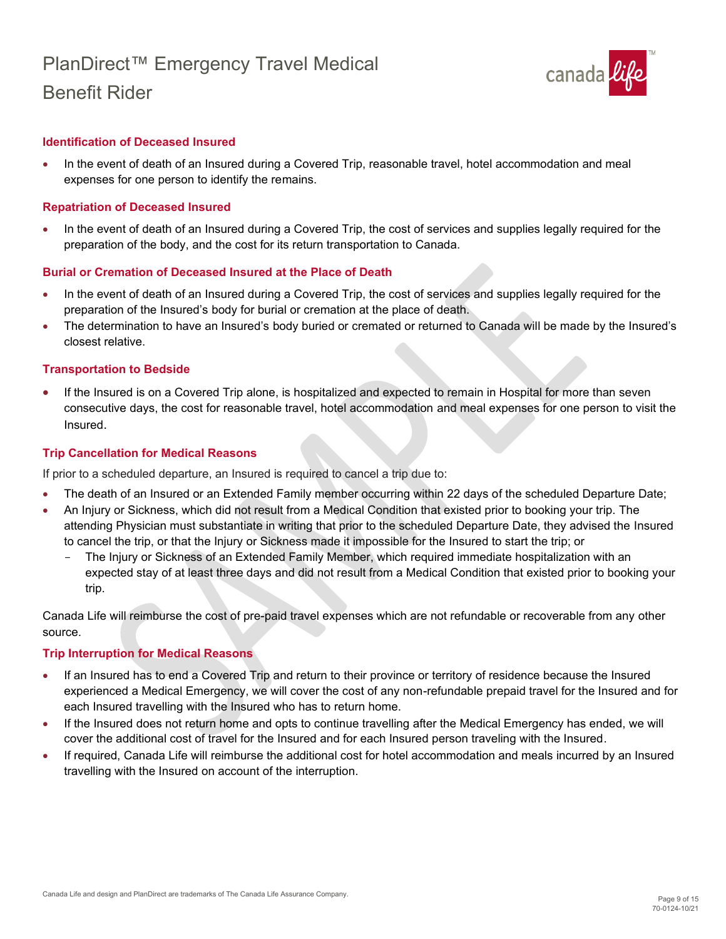

#### **Identification of Deceased Insured**

• In the event of death of an Insured during a Covered Trip, reasonable travel, hotel accommodation and meal expenses for one person to identify the remains.

#### **Repatriation of Deceased Insured**

• In the event of death of an Insured during a Covered Trip, the cost of services and supplies legally required for the preparation of the body, and the cost for its return transportation to Canada.

#### **Burial or Cremation of Deceased Insured at the Place of Death**

- In the event of death of an Insured during a Covered Trip, the cost of services and supplies legally required for the preparation of the Insured's body for burial or cremation at the place of death.
- The determination to have an Insured's body buried or cremated or returned to Canada will be made by the Insured's closest relative.

#### **Transportation to Bedside**

• If the Insured is on a Covered Trip alone, is hospitalized and expected to remain in Hospital for more than seven consecutive days, the cost for reasonable travel, hotel accommodation and meal expenses for one person to visit the Insured.

#### **Trip Cancellation for Medical Reasons**

If prior to a scheduled departure, an Insured is required to cancel a trip due to:

- The death of an Insured or an Extended Family member occurring within 22 days of the scheduled Departure Date;
- An Injury or Sickness, which did not result from a Medical Condition that existed prior to booking your trip. The attending Physician must substantiate in writing that prior to the scheduled Departure Date, they advised the Insured to cancel the trip, or that the Injury or Sickness made it impossible for the Insured to start the trip; or
	- The Injury or Sickness of an Extended Family Member, which required immediate hospitalization with an expected stay of at least three days and did not result from a Medical Condition that existed prior to booking your trip.

Canada Life will reimburse the cost of pre-paid travel expenses which are not refundable or recoverable from any other source.

#### **Trip Interruption for Medical Reasons**

- If an Insured has to end a Covered Trip and return to their province or territory of residence because the Insured experienced a Medical Emergency, we will cover the cost of any non-refundable prepaid travel for the Insured and for each Insured travelling with the Insured who has to return home.
- If the Insured does not return home and opts to continue travelling after the Medical Emergency has ended, we will cover the additional cost of travel for the Insured and for each Insured person traveling with the Insured.
- If required, Canada Life will reimburse the additional cost for hotel accommodation and meals incurred by an Insured travelling with the Insured on account of the interruption.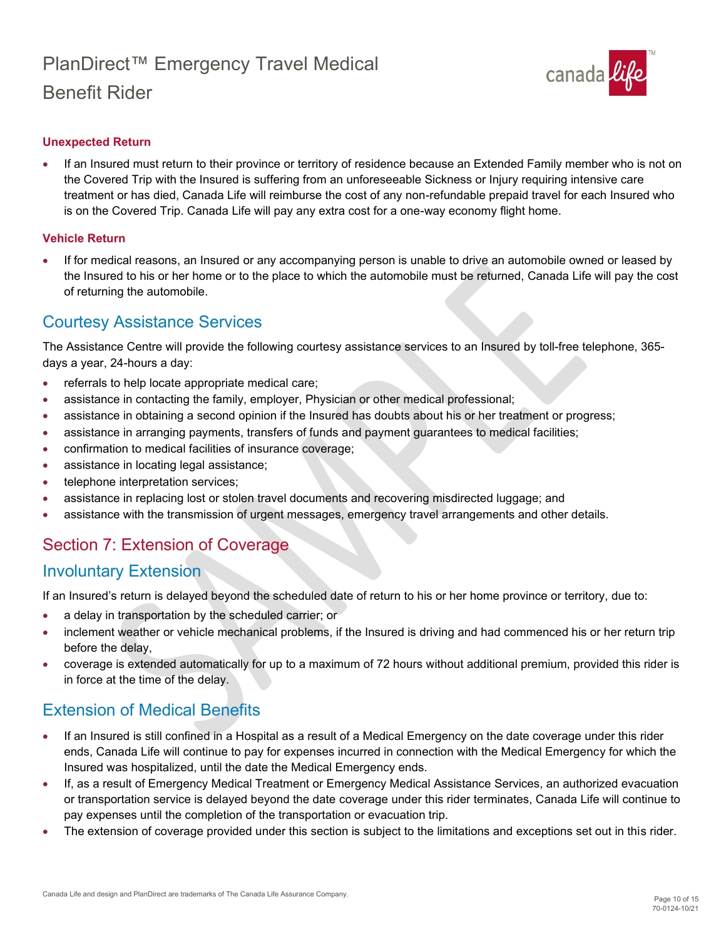

#### **Unexpected Return**

• If an Insured must return to their province or territory of residence because an Extended Family member who is not on the Covered Trip with the Insured is suffering from an unforeseeable Sickness or Injury requiring intensive care treatment or has died, Canada Life will reimburse the cost of any non-refundable prepaid travel for each Insured who is on the Covered Trip. Canada Life will pay any extra cost for a one-way economy flight home.

#### **Vehicle Return**

• If for medical reasons, an Insured or any accompanying person is unable to drive an automobile owned or leased by the Insured to his or her home or to the place to which the automobile must be returned, Canada Life will pay the cost of returning the automobile.

### <span id="page-9-0"></span>Courtesy Assistance Services

The Assistance Centre will provide the following courtesy assistance services to an Insured by toll-free telephone, 365 days a year, 24-hours a day:

- referrals to help locate appropriate medical care;
- assistance in contacting the family, employer, Physician or other medical professional;
- assistance in obtaining a second opinion if the Insured has doubts about his or her treatment or progress;
- assistance in arranging payments, transfers of funds and payment guarantees to medical facilities;
- confirmation to medical facilities of insurance coverage;
- assistance in locating legal assistance;
- telephone interpretation services;
- assistance in replacing lost or stolen travel documents and recovering misdirected luggage; and
- assistance with the transmission of urgent messages, emergency travel arrangements and other details.

## <span id="page-9-1"></span>Section 7: Extension of Coverage

### <span id="page-9-2"></span>Involuntary Extension

If an Insured's return is delayed beyond the scheduled date of return to his or her home province or territory, due to:

- a delay in transportation by the scheduled carrier; or
- inclement weather or vehicle mechanical problems, if the Insured is driving and had commenced his or her return trip before the delay,
- coverage is extended automatically for up to a maximum of 72 hours without additional premium, provided this rider is in force at the time of the delay.

## <span id="page-9-3"></span>Extension of Medical Benefits

- If an Insured is still confined in a Hospital as a result of a Medical Emergency on the date coverage under this rider ends, Canada Life will continue to pay for expenses incurred in connection with the Medical Emergency for which the Insured was hospitalized, until the date the Medical Emergency ends.
- If, as a result of Emergency Medical Treatment or Emergency Medical Assistance Services, an authorized evacuation or transportation service is delayed beyond the date coverage under this rider terminates, Canada Life will continue to pay expenses until the completion of the transportation or evacuation trip.
- The extension of coverage provided under this section is subject to the limitations and exceptions set out in this rider.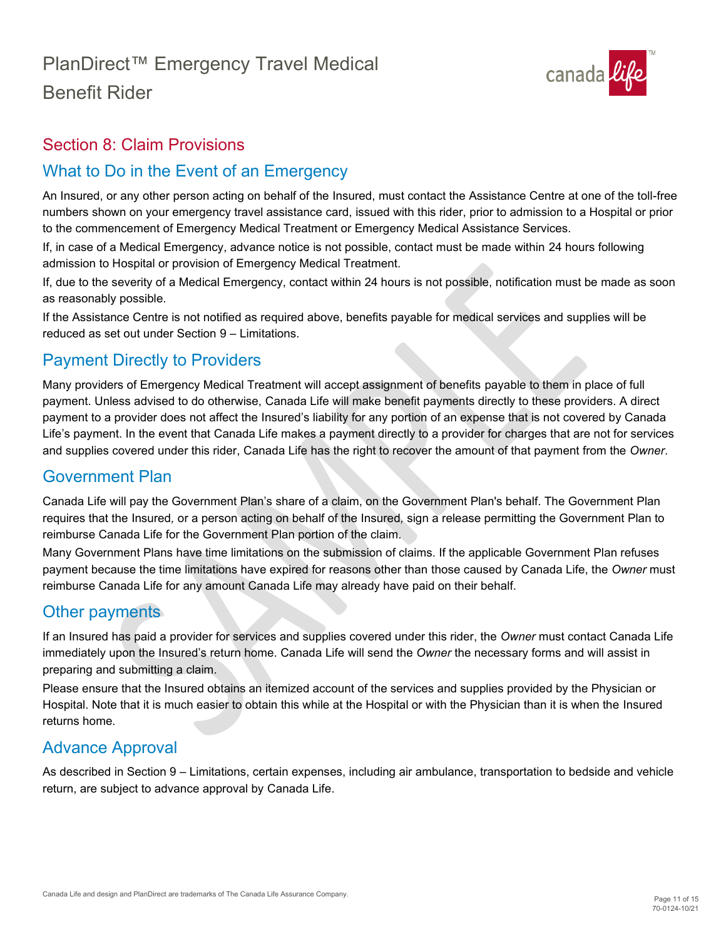

## <span id="page-10-0"></span>Section 8: Claim Provisions

# <span id="page-10-1"></span>What to Do in the Event of an Emergency

An Insured, or any other person acting on behalf of the Insured, must contact the Assistance Centre at one of the toll-free numbers shown on your emergency travel assistance card, issued with this rider, prior to admission to a Hospital or prior to the commencement of Emergency Medical Treatment or Emergency Medical Assistance Services.

If, in case of a Medical Emergency, advance notice is not possible, contact must be made within 24 hours following admission to Hospital or provision of Emergency Medical Treatment.

If, due to the severity of a Medical Emergency, contact within 24 hours is not possible, notification must be made as soon as reasonably possible.

If the Assistance Centre is not notified as required above, benefits payable for medical services and supplies will be reduced as set out under Section 9 – Limitations.

# <span id="page-10-2"></span>Payment Directly to Providers

Many providers of Emergency Medical Treatment will accept assignment of benefits payable to them in place of full payment. Unless advised to do otherwise, Canada Life will make benefit payments directly to these providers. A direct payment to a provider does not affect the Insured's liability for any portion of an expense that is not covered by Canada Life's payment. In the event that Canada Life makes a payment directly to a provider for charges that are not for services and supplies covered under this rider, Canada Life has the right to recover the amount of that payment from the *Owner*.

## <span id="page-10-3"></span>Government Plan

Canada Life will pay the Government Plan's share of a claim, on the Government Plan's behalf. The Government Plan requires that the Insured*,* or a person acting on behalf of the Insured*,* sign a release permitting the Government Plan to reimburse Canada Life for the Government Plan portion of the claim.

Many Government Plans have time limitations on the submission of claims. If the applicable Government Plan refuses payment because the time limitations have expired for reasons other than those caused by Canada Life, the *Owner* must reimburse Canada Life for any amount Canada Life may already have paid on their behalf.

# <span id="page-10-4"></span>Other payments

If an Insured has paid a provider for services and supplies covered under this rider, the *Owner* must contact Canada Life immediately upon the Insured's return home. Canada Life will send the *Owner* the necessary forms and will assist in preparing and submitting a claim.

Please ensure that the Insured obtains an itemized account of the services and supplies provided by the Physician or Hospital. Note that it is much easier to obtain this while at the Hospital or with the Physician than it is when the Insured returns home.

## <span id="page-10-5"></span>Advance Approval

As described in Section 9 – Limitations, certain expenses, including air ambulance, transportation to bedside and vehicle return, are subject to advance approval by Canada Life.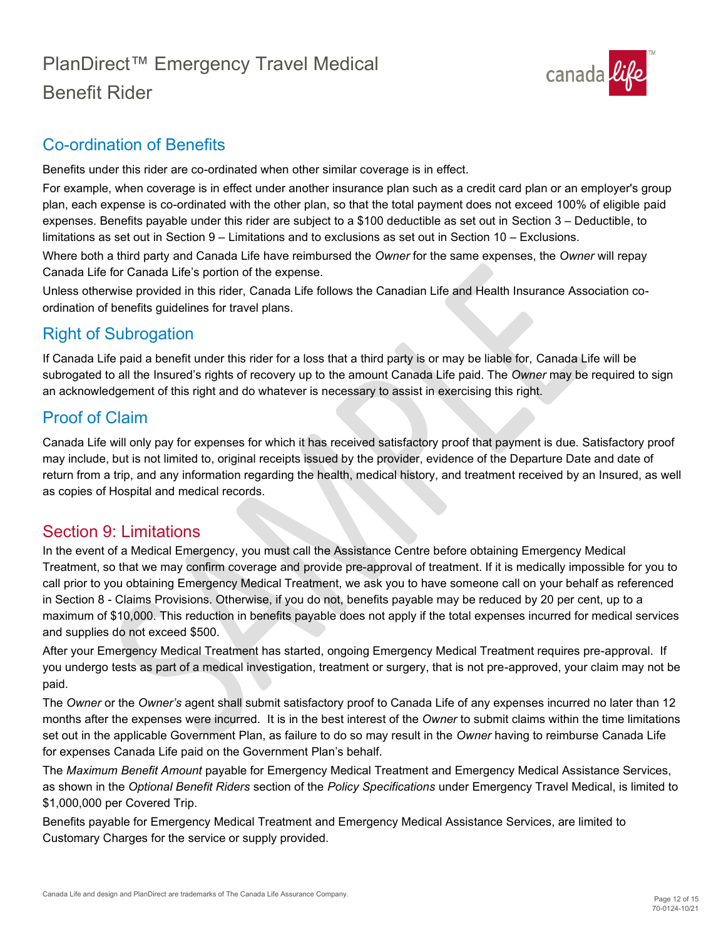

# <span id="page-11-0"></span>Co-ordination of Benefits

Benefits under this rider are co-ordinated when other similar coverage is in effect.

For example, when coverage is in effect under another insurance plan such as a credit card plan or an employer's group plan, each expense is co-ordinated with the other plan, so that the total payment does not exceed 100% of eligible paid expenses. Benefits payable under this rider are subject to a \$100 deductible as set out in Section 3 – Deductible, to limitations as set out in Section 9 – Limitations and to exclusions as set out in Section 10 – Exclusions. Where both a third party and Canada Life have reimbursed the *Owner* for the same expenses, the *Owner* will repay

Canada Life for Canada Life's portion of the expense. Unless otherwise provided in this rider, Canada Life follows the Canadian Life and Health Insurance Association co-

ordination of benefits guidelines for travel plans.

# <span id="page-11-1"></span>Right of Subrogation

If Canada Life paid a benefit under this rider for a loss that a third party is or may be liable for, Canada Life will be subrogated to all the Insured's rights of recovery up to the amount Canada Life paid. The *Owner* may be required to sign an acknowledgement of this right and do whatever is necessary to assist in exercising this right.

# <span id="page-11-2"></span>Proof of Claim

Canada Life will only pay for expenses for which it has received satisfactory proof that payment is due. Satisfactory proof may include, but is not limited to, original receipts issued by the provider, evidence of the Departure Date and date of return from a trip, and any information regarding the health, medical history, and treatment received by an Insured, as well as copies of Hospital and medical records.

## <span id="page-11-3"></span>Section 9: Limitations

In the event of a Medical Emergency, you must call the Assistance Centre before obtaining Emergency Medical Treatment, so that we may confirm coverage and provide pre-approval of treatment. If it is medically impossible for you to call prior to you obtaining Emergency Medical Treatment, we ask you to have someone call on your behalf as referenced in Section 8 - Claims Provisions. Otherwise, if you do not, benefits payable may be reduced by 20 per cent, up to a maximum of \$10,000. This reduction in benefits payable does not apply if the total expenses incurred for medical services and supplies do not exceed \$500.

After your Emergency Medical Treatment has started, ongoing Emergency Medical Treatment requires pre-approval. If you undergo tests as part of a medical investigation, treatment or surgery, that is not pre-approved, your claim may not be paid.

The *Owner* or the *Owner's* agent shall submit satisfactory proof to Canada Life of any expenses incurred no later than 12 months after the expenses were incurred. It is in the best interest of the *Owner* to submit claims within the time limitations set out in the applicable Government Plan, as failure to do so may result in the *Owner* having to reimburse Canada Life for expenses Canada Life paid on the Government Plan's behalf.

The *Maximum Benefit Amount* payable for Emergency Medical Treatment and Emergency Medical Assistance Services, as shown in the *Optional Benefit Riders* section of the *Policy Specifications* under Emergency Travel Medical, is limited to \$1,000,000 per Covered Trip.

Benefits payable for Emergency Medical Treatment and Emergency Medical Assistance Services, are limited to Customary Charges for the service or supply provided.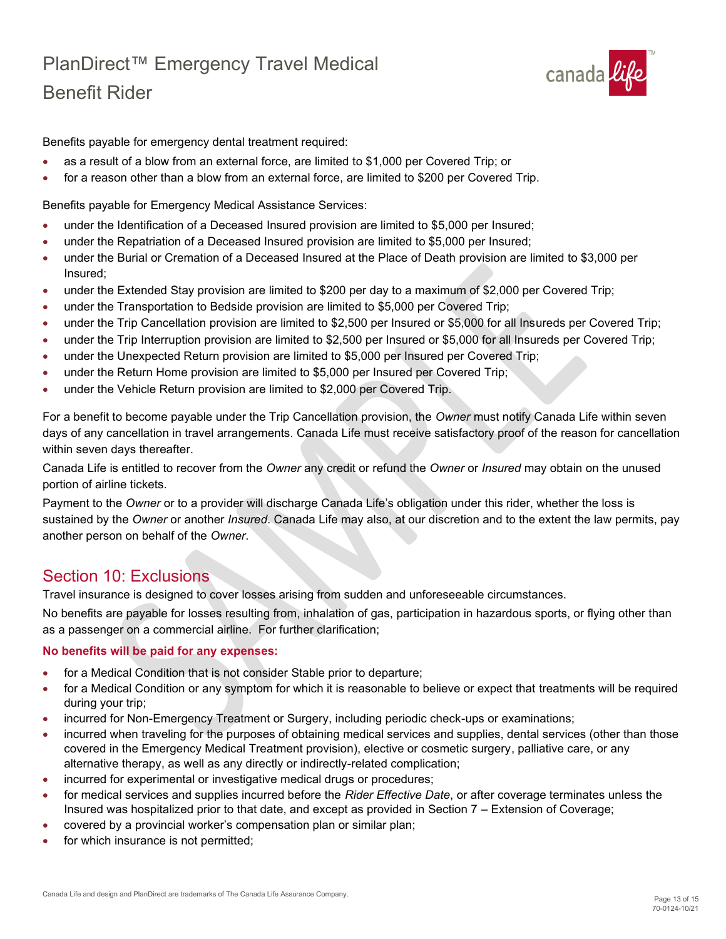

Benefits payable for emergency dental treatment required:

- as a result of a blow from an external force, are limited to \$1,000 per Covered Trip; or
- for a reason other than a blow from an external force, are limited to \$200 per Covered Trip.

Benefits payable for Emergency Medical Assistance Services:

- under the Identification of a Deceased Insured provision are limited to \$5,000 per Insured;
- under the Repatriation of a Deceased Insured provision are limited to \$5,000 per Insured;
- under the Burial or Cremation of a Deceased Insured at the Place of Death provision are limited to \$3,000 per Insured;
- under the Extended Stay provision are limited to \$200 per day to a maximum of \$2,000 per Covered Trip;
- under the Transportation to Bedside provision are limited to \$5,000 per Covered Trip;
- under the Trip Cancellation provision are limited to \$2,500 per Insured or \$5,000 for all Insureds per Covered Trip;
- under the Trip Interruption provision are limited to \$2,500 per Insured or \$5,000 for all Insureds per Covered Trip;
- under the Unexpected Return provision are limited to \$5,000 per Insured per Covered Trip;
- under the Return Home provision are limited to \$5,000 per Insured per Covered Trip;
- under the Vehicle Return provision are limited to \$2,000 per Covered Trip.

For a benefit to become payable under the Trip Cancellation provision, the *Owner* must notify Canada Life within seven days of any cancellation in travel arrangements. Canada Life must receive satisfactory proof of the reason for cancellation within seven days thereafter.

Canada Life is entitled to recover from the *Owner* any credit or refund the *Owner* or *Insured* may obtain on the unused portion of airline tickets.

Payment to the *Owner* or to a provider will discharge Canada Life's obligation under this rider, whether the loss is sustained by the *Owner* or another *Insured*. Canada Life may also, at our discretion and to the extent the law permits, pay another person on behalf of the *Owner*.

## <span id="page-12-0"></span>Section 10: Exclusions

Travel insurance is designed to cover losses arising from sudden and unforeseeable circumstances.

No benefits are payable for losses resulting from, inhalation of gas, participation in hazardous sports, or flying other than as a passenger on a commercial airline. For further clarification;

#### **No benefits will be paid for any expenses:**

- for a Medical Condition that is not consider Stable prior to departure;
- for a Medical Condition or any symptom for which it is reasonable to believe or expect that treatments will be required during your trip;
- incurred for Non-Emergency Treatment or Surgery, including periodic check-ups or examinations;
- incurred when traveling for the purposes of obtaining medical services and supplies, dental services (other than those covered in the Emergency Medical Treatment provision), elective or cosmetic surgery, palliative care, or any alternative therapy, as well as any directly or indirectly-related complication;
- incurred for experimental or investigative medical drugs or procedures;
- for medical services and supplies incurred before the *Rider Effective Date*, or after coverage terminates unless the Insured was hospitalized prior to that date, and except as provided in Section 7 – Extension of Coverage;
- covered by a provincial worker's compensation plan or similar plan;
- for which insurance is not permitted;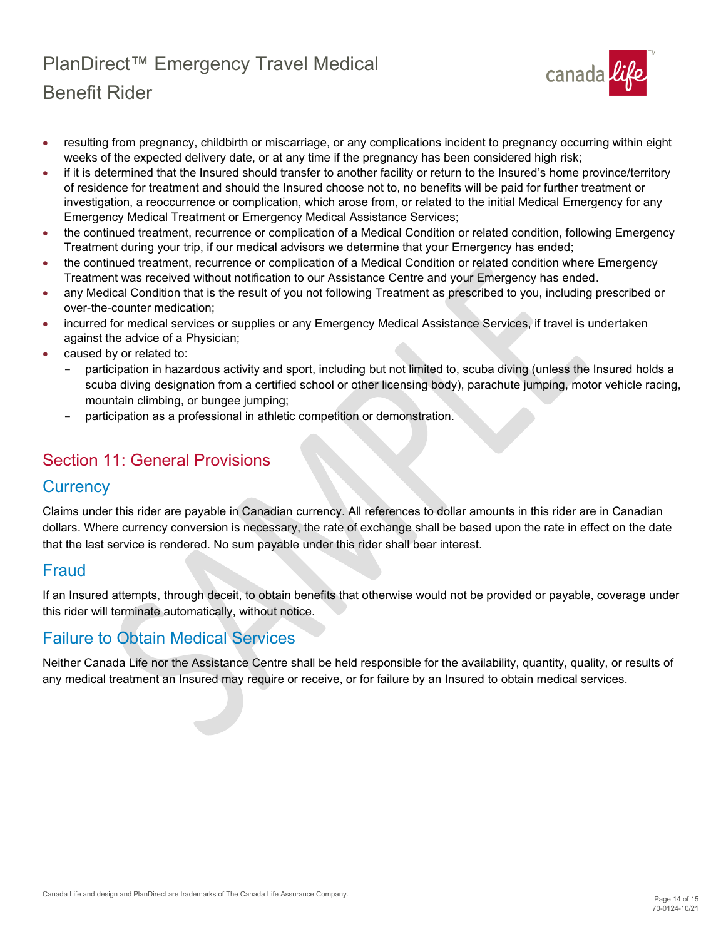

- resulting from pregnancy, childbirth or miscarriage, or any complications incident to pregnancy occurring within eight weeks of the expected delivery date, or at any time if the pregnancy has been considered high risk;
- if it is determined that the Insured should transfer to another facility or return to the Insured's home province/territory of residence for treatment and should the Insured choose not to, no benefits will be paid for further treatment or investigation, a reoccurrence or complication, which arose from, or related to the initial Medical Emergency for any Emergency Medical Treatment or Emergency Medical Assistance Services;
- the continued treatment, recurrence or complication of a Medical Condition or related condition, following Emergency Treatment during your trip, if our medical advisors we determine that your Emergency has ended;
- the continued treatment, recurrence or complication of a Medical Condition or related condition where Emergency Treatment was received without notification to our Assistance Centre and your Emergency has ended.
- any Medical Condition that is the result of you not following Treatment as prescribed to you, including prescribed or over-the-counter medication;
- incurred for medical services or supplies or any Emergency Medical Assistance Services, if travel is undertaken against the advice of a Physician;
- caused by or related to:
	- participation in hazardous activity and sport, including but not limited to, scuba diving (unless the Insured holds a scuba diving designation from a certified school or other licensing body), parachute jumping, motor vehicle racing, mountain climbing, or bungee jumping;
	- participation as a professional in athletic competition or demonstration.

# <span id="page-13-0"></span>Section 11: General Provisions

## <span id="page-13-1"></span>**Currency**

Claims under this rider are payable in Canadian currency. All references to dollar amounts in this rider are in Canadian dollars. Where currency conversion is necessary, the rate of exchange shall be based upon the rate in effect on the date that the last service is rendered. No sum payable under this rider shall bear interest.

## <span id="page-13-2"></span>Fraud

If an Insured attempts, through deceit, to obtain benefits that otherwise would not be provided or payable, coverage under this rider will terminate automatically, without notice.

## <span id="page-13-3"></span>Failure to Obtain Medical Services

Neither Canada Life nor the Assistance Centre shall be held responsible for the availability, quantity, quality, or results of any medical treatment an Insured may require or receive, or for failure by an Insured to obtain medical services.